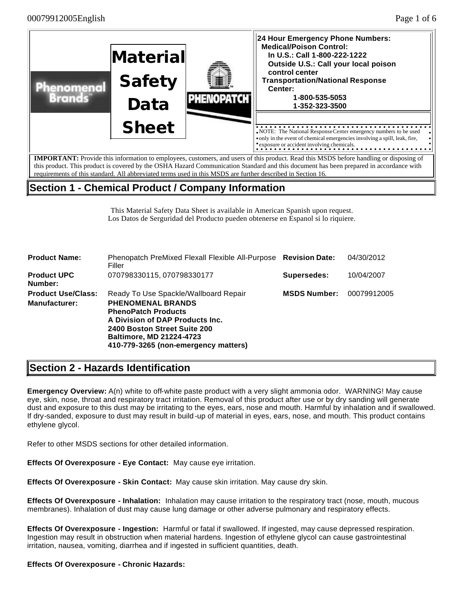

requirements of this standard. All abbreviated terms used in this MSDS are further described in Section 16.

# **Section 1 - Chemical Product / Company Information**

This Material Safety Data Sheet is available in American Spanish upon request. Los Datos de Serguridad del Producto pueden obtenerse en Espanol si lo riquiere.

| <b>Product Name:</b>                              | Phenopatch PreMixed Flexall Flexible All-Purpose Revision Date:<br>Filler                                                                                                                                                                     |                     | 04/30/2012  |
|---------------------------------------------------|-----------------------------------------------------------------------------------------------------------------------------------------------------------------------------------------------------------------------------------------------|---------------------|-------------|
| <b>Product UPC</b><br>Number:                     | 070798330115, 070798330177                                                                                                                                                                                                                    | Supersedes:         | 10/04/2007  |
| <b>Product Use/Class:</b><br><b>Manufacturer:</b> | Ready To Use Spackle/Wallboard Repair<br><b>PHENOMENAL BRANDS</b><br><b>PhenoPatch Products</b><br>A Division of DAP Products Inc.<br>2400 Boston Street Suite 200<br><b>Baltimore, MD 21224-4723</b><br>410-779-3265 (non-emergency matters) | <b>MSDS Number:</b> | 00079912005 |

# **Section 2 - Hazards Identification**

**Emergency Overview:** A(n) white to off-white paste product with a very slight ammonia odor. WARNING! May cause eye, skin, nose, throat and respiratory tract irritation. Removal of this product after use or by dry sanding will generate dust and exposure to this dust may be irritating to the eyes, ears, nose and mouth. Harmful by inhalation and if swallowed. If dry-sanded, exposure to dust may result in build -up of material in eyes, ears, nose, and mouth. This product contains ethylene glycol.

Refer to other MSDS sections for other detailed information.

**Effects Of Overexposure - Eye Contact:** May cause eye irritation.

**Effects Of Overexposure - Skin Contact:** May cause skin irritation. May cause dry skin.

**Effects Of Overexposure - Inhalation:** Inhalation may cause irritation to the respiratory tract (nose, mouth, mucous membranes). Inhalation of dust may cause lung damage or other adverse pulmonary and respiratory effects.

**Effects Of Overexposure - Ingestion:** Harmful or fatal if swallowed. If ingested, may cause depressed respiration. Ingestion may result in obstruction when material hardens. Ingestion of ethylene glycol can cause gastrointestinal irritation, nausea, vomiting, diarrhea and if ingested in sufficient quantities, death.

#### **Effects Of Overexposure - Chronic Hazards:**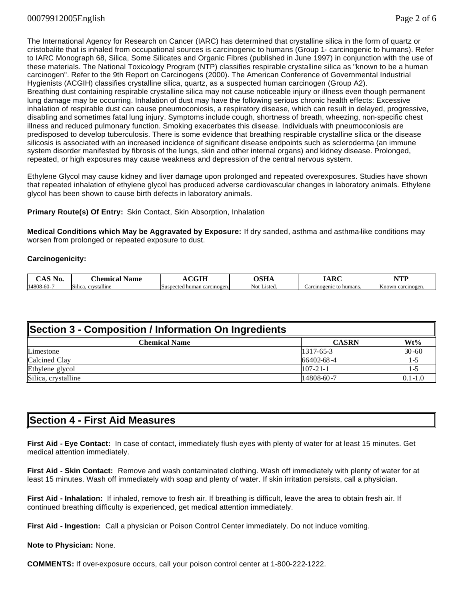The International Agency for Research on Cancer (IARC) has determined that crystalline silica in the form of quartz or cristobalite that is inhaled from occupational sources is carcinogenic to humans (Group 1- carcinogenic to humans). Refer to IARC Monograph 68, Silica, Some Silicates and Organic Fibres (published in June 1997) in conjunction with the use of these materials. The National Toxicology Program (NTP) classifies respirable crystalline silica as "known to be a human carcinogen". Refer to the 9th Report on Carcinogens (2000). The American Conference of Governmental Industrial Hygienists (ACGIH) classifies crystalline silica, quartz, as a suspected human carcinogen (Group A2). Breathing dust containing respirable crystalline silica may not cause noticeable injury or illness even though permanent lung damage may be occurring. Inhalation of dust may have the following serious chronic health effects: Excessive inhalation of respirable dust can cause pneumoconiosis, a respiratory disease, which can result in delayed, progressive, disabling and sometimes fatal lung injury. Symptoms include cough, shortness of breath, wheezing, non-specific chest illness and reduced pulmonary function. Smoking exacerbates this disease. Individuals with pneumoconiosis are predisposed to develop tuberculosis. There is some evidence that breathing respirable crystalline silica or the disease silicosis is associated with an increased incidence of significant disease endpoints such as scleroderma (an immune system disorder manifested by fibrosis of the lungs, skin and other internal organs) and kidney disease. Prolonged, repeated, or high exposures may cause weakness and depression of the central nervous system.

Ethylene Glycol may cause kidney and liver damage upon prolonged and repeated overexposures. Studies have shown that repeated inhalation of ethylene glycol has produced adverse cardiovascular changes in laboratory animals. Ethylene glycol has been shown to cause birth defects in laboratory animals.

**Primary Route(s) Of Entry:** Skin Contact, Skin Absorption, Inhalation

**Medical Conditions which May be Aggravated by Exposure:** If dry sanded, asthma and asthma-like conditions may worsen from prolonged or repeated exposure to dust.

#### **Carcinogenicity:**

| $\sim$<br>$\sim$ $\sim$<br>NO. | <b>Chemical</b><br>Name               | $\alpha$ $\alpha$ $\mathbf{H}$ | $\boldsymbol{\alpha}$ $\boldsymbol{\pi}$<br>wiiz | $\mathbf{D}$<br>$\mathbf{a}$ | VTT                  |
|--------------------------------|---------------------------------------|--------------------------------|--------------------------------------------------|------------------------------|----------------------|
| 14808-60-7                     | Silic.<br><br>vstalline<br>$\sim$ and | ISuspected human carcinogen.   | $-$<br>Listed<br>Not                             | Carcinogenic to humans       | Anowr<br>carcinogen. |

| Section 3 - Composition / Information On Ingredients |                 |             |  |
|------------------------------------------------------|-----------------|-------------|--|
| <b>Chemical Name</b>                                 | <b>CASRN</b>    | Wt%         |  |
| Limestone                                            | $1317 - 65 - 3$ | $30 - 60$   |  |
| Calcined Clay                                        | 66402-68-4      | 1-5         |  |
| Ethylene glycol                                      | $107 - 21 - 1$  | $1 - 5$     |  |
| Silica, crystalline                                  | 14808-60-7      | $0.1 - 1.0$ |  |

## **Section 4 - First Aid Measures**

**First Aid - Eye Contact:** In case of contact, immediately flush eyes with plenty of water for at least 15 minutes. Get medical attention immediately.

**First Aid - Skin Contact:** Remove and wash contaminated clothing. Wash off immediately with plenty of water for at least 15 minutes. Wash off immediately with soap and plenty of water. If skin irritation persists, call a physician.

**First Aid - Inhalation:** If inhaled, remove to fresh air. If breathing is difficult, leave the area to obtain fresh air. If continued breathing difficulty is experienced, get medical attention immediately.

**First Aid - Ingestion:** Call a physician or Poison Control Center immediately. Do not induce vomiting.

**Note to Physician:** None.

**COMMENTS:** If over-exposure occurs, call your poison control center at 1-800-222-1222.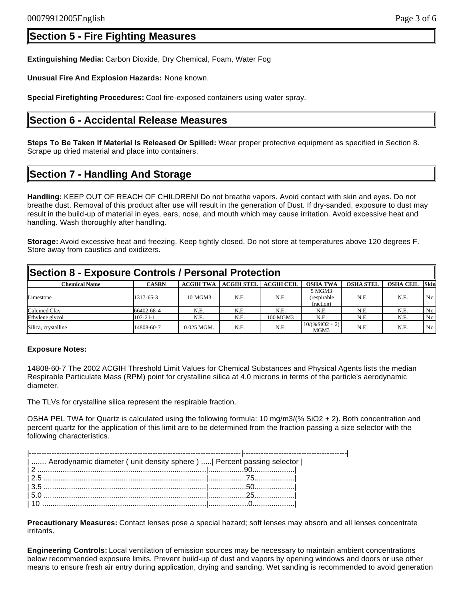**Extinguishing Media:** Carbon Dioxide, Dry Chemical, Foam, Water Fog

**Unusual Fire And Explosion Hazards:** None known.

**Special Firefighting Procedures:** Cool fire-exposed containers using water spray.

## **Section 6 - Accidental Release Measures**

**Steps To Be Taken If Material Is Released Or Spilled:** Wear proper protective equipment as specified in Section 8. Scrape up dried material and place into containers.

# **Section 7 - Handling And Storage**

**Handling:** KEEP OUT OF REACH OF CHILDREN! Do not breathe vapors. Avoid contact with skin and eyes. Do not breathe dust. Removal of this product after use will result in the generation of Dust. If dry-sanded, exposure to dust may result in the build-up of material in eyes, ears, nose, and mouth which may cause irritation. Avoid excessive heat and handling. Wash thoroughly after handling.

**Storage:** Avoid excessive heat and freezing. Keep tightly closed. Do not store at temperatures above 120 degrees F. Store away from caustics and oxidizers.

| Section 8 - Exposure Controls / Personal Protection |                |                  |                   |            |                                     |                  |                  |                 |
|-----------------------------------------------------|----------------|------------------|-------------------|------------|-------------------------------------|------------------|------------------|-----------------|
| <b>Chemical Name</b>                                | <b>CASRN</b>   | <b>ACGIH TWA</b> | <b>ACGIH STEL</b> | ACGIH CEIL | <b>OSHA TWA</b>                     | <b>OSHA STEL</b> | <b>OSHA CEIL</b> | <b>Skin</b>     |
| Limestone                                           | 1317-65-3      | 10 MGM3          | N.E.              | N.E.       | 5 MGM3<br>(respirable)<br>fraction) | N.E.             | N.E.             | No.             |
| Calcined Clay                                       | 66402-68-4     | N.E.             | N.E.              | N.E.       | N.E.                                | N.E.             | N.E.             | No              |
| Ethylene glycol                                     | $107 - 21 - 1$ | N.E.             | N.E.              | 100 MGM3   | N.E.                                | N.E.             | N.E.             | No              |
| Silica, crystalline                                 | 14808-60-7     | $0.025$ MGM.     | N.E.              | N.E.       | $10/(%SiO2 + 2)$<br>MGM3            | N.E.             | N.E.             | No <sub>1</sub> |

#### **Exposure Notes:**

14808-60-7 The 2002 ACGIH Threshold Limit Values for Chemical Substances and Physical Agents lists the median Respirable Particulate Mass (RPM) point for crystalline silica at 4.0 microns in terms of the particle's aerodynamic diameter.

The TLVs for crystalline silica represent the respirable fraction.

OSHA PEL TWA for Quartz is calculated using the following formula: 10 mg/m3/(% SiO2 + 2). Both concentration and percent quartz for the application of this limit are to be determined from the fraction passing a size selector with the following characteristics.

| Aerodynamic diameter ( unit density sphere )   Percent passing selector |  |
|-------------------------------------------------------------------------|--|
|                                                                         |  |
|                                                                         |  |
|                                                                         |  |
|                                                                         |  |
|                                                                         |  |
|                                                                         |  |

**Precautionary Measures:** Contact lenses pose a special hazard; soft lenses may absorb and all lenses concentrate irritants.

**Engineering Controls:** Local ventilation of emission sources may be necessary to maintain ambient concentrations below recommended exposure limits. Prevent build-up of dust and vapors by opening windows and doors or use other means to ensure fresh air entry during application, drying and sanding. Wet sanding is recommended to avoid generation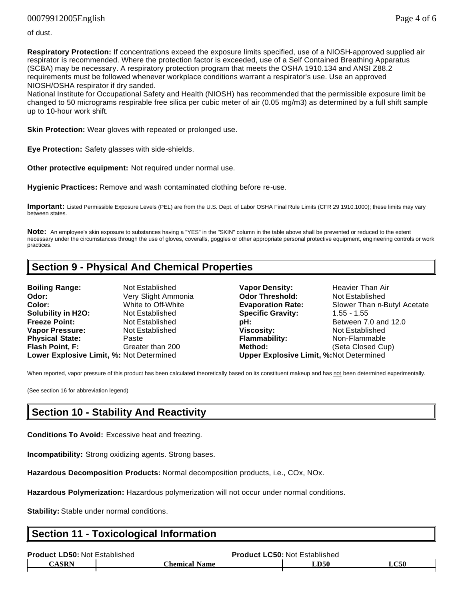### 00079912005English Page 4 of 6

of dust.

**Respiratory Protection:** If concentrations exceed the exposure limits specified, use of a NIOSH-approved supplied air respirator is recommended. Where the protection factor is exceeded, use of a Self Contained Breathing Apparatus (SCBA) may be necessary. A respiratory protection program that meets the OSHA 1910.134 and ANSI Z88.2 requirements must be followed whenever workplace conditions warrant a respirator's use. Use an approved NIOSH/OSHA respirator if dry sanded.

National Institute for Occupational Safety and Health (NIOSH) has recommended that the permissible exposure limit be changed to 50 micrograms respirable free silica per cubic meter of air (0.05 mg/m3) as determined by a full shift sample up to 10-hour work shift.

**Skin Protection:** Wear gloves with repeated or prolonged use.

**Eye Protection:** Safety glasses with side-shields.

**Other protective equipment:** Not required under normal use.

**Hygienic Practices:** Remove and wash contaminated clothing before re-use.

**Important:** Listed Permissible Exposure Levels (PEL) are from the U.S. Dept. of Labor OSHA Final Rule Limits (CFR 29 1910.1000); these limits may vary between states.

**Note:** An employee's skin exposure to substances having a "YES" in the "SKIN" column in the table above shall be prevented or reduced to the extent necessary under the circumstances through the use of gloves, coveralls, goggles or other appropriate personal protective equipment, engineering controls or work practices.

## **Section 9 - Physical And Chemical Properties**

**Boiling Range:** Not Established **Vapor Density:** Heavier Than Air **Odor: Very Slight Ammonia Odor Threshold:** Not Established **Color:** White to Off-White **Evaporation Rate:** Slower Than n-Butyl Acetate **Solubility in H2O:** Not Established **Specific Gravity:** 1.55 - 1.55 **Freeze Point:** Not Established **pH: Between 7.0 and 12.0 Vapor Pressure:** Not Established **Viscosity:** Not Established **Physical State:** Paste **Flammability:** Non-Flammable **Flash Point, F:** Greater than 200 **Method:** (Seta Closed Cup) **Lower Explosive Limit, %:** Not Determined **Upper Explosive Limit, %:**Not Determined

When reported, vapor pressure of this product has been calculated theoretically based on its constituent makeup and has not been determined experimentally.

(See section 16 for abbreviation legend)

### **Section 10 - Stability And Reactivity**

**Conditions To Avoid:** Excessive heat and freezing.

**Incompatibility:** Strong oxidizing agents. Strong bases.

**Hazardous Decomposition Products:** Normal decomposition products, i.e., COx, NOx.

**Hazardous Polymerization:** Hazardous polymerization will not occur under normal conditions.

**Stability:** Stable under normal conditions.

## **Section 11 - Toxicological Information**

| <b>Product LD50: Not Established</b> |                                  | <b>Product LC50: Not Established</b> |             |
|--------------------------------------|----------------------------------|--------------------------------------|-------------|
| <b>CASRN</b>                         | <b>Chemical</b> .<br><b>Name</b> | LD50                                 | <b>LC50</b> |
|                                      |                                  |                                      |             |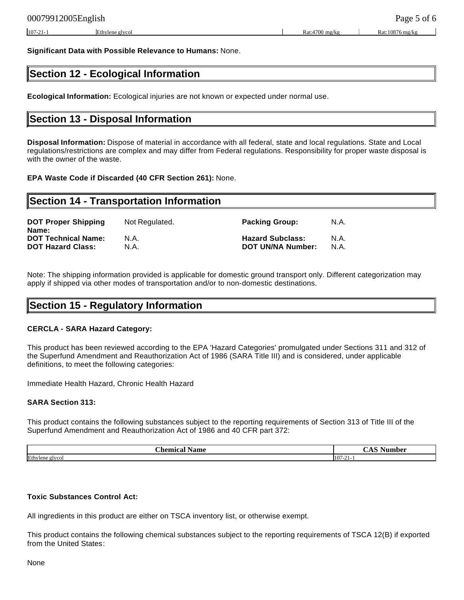**Significant Data with Possible Relevance to Humans:** None.

# **Section 12 - Ecological Information**

**Ecological Information:** Ecological injuries are not known or expected under normal use.

### **Section 13 - Disposal Information**

**Disposal Information:** Dispose of material in accordance with all federal, state and local regulations. State and Local regulations/restrictions are complex and may differ from Federal regulations. Responsibility for proper waste disposal is with the owner of the waste.

#### **EPA Waste Code if Discarded (40 CFR Section 261):** None.

| Section 14 - Transportation Information |                         |                          |  |  |
|-----------------------------------------|-------------------------|--------------------------|--|--|
| Not Regulated.                          | <b>Packing Group:</b>   | N.A.                     |  |  |
| N.A.                                    | <b>Hazard Subclass:</b> | N.A.<br>N.A.             |  |  |
|                                         | N.A.                    | <b>DOT UN/NA Number:</b> |  |  |

Note: The shipping information provided is applicable for domestic ground transport only. Different categorization may apply if shipped via other modes of transportation and/or to non-domestic destinations.

### **Section 15 - Regulatory Information**

#### **CERCLA - SARA Hazard Category:**

This product has been reviewed according to the EPA 'Hazard Categories' promulgated under Sections 311 and 312 of the Superfund Amendment and Reauthorization Act of 1986 (SARA Title III) and is considered, under applicable definitions, to meet the following categories:

Immediate Health Hazard, Chronic Health Hazard

#### **SARA Section 313:**

This product contains the following substances subject to the reporting requirements of Section 313 of Title III of the Superfund Amendment and Reauthorization Act of 1986 and 40 CFR part 372:

| 'hemica<br>Name       | c<br>Number<br>чис. |
|-----------------------|---------------------|
| Ethylene              | 1107                |
| $\alpha$ and $\alpha$ | -                   |
| y cui                 | $10/-$              |

#### **Toxic Substances Control Act:**

All ingredients in this product are either on TSCA inventory list, or otherwise exempt.

This product contains the following chemical substances subject to the reporting requirements of TSCA 12(B) if exported from the United States: